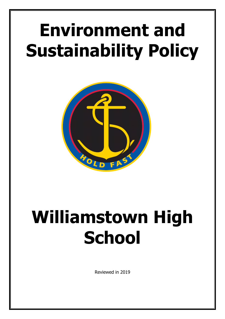# **Environment and Sustainability Policy**



# **Williamstown High School**

Reviewed in 2019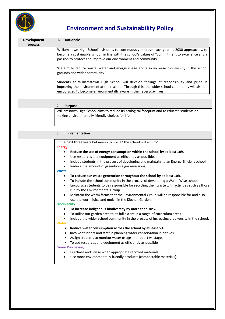

# **Environment and Sustainability Policy**

| Development<br>process | <b>Rationale</b><br>1.                                                                                                                                                                                                                                               |
|------------------------|----------------------------------------------------------------------------------------------------------------------------------------------------------------------------------------------------------------------------------------------------------------------|
|                        | Williamstown High School's vision is to continuously improve each year as 2030 approaches, to<br>become a sustainable school, in line with the school's values of "commitment to excellence and a<br>passion to protect and improve our environment and community.   |
|                        | We aim to reduce waste, water and energy usage and also increase biodiversity in the school<br>grounds and wider community.                                                                                                                                          |
|                        | Students at Williamstown High School will develop feelings of responsibility and pride in<br>improving the environment at their school. Through this, the wider school community will also be<br>encouraged to become environmentally aware in their everyday lives. |
|                        |                                                                                                                                                                                                                                                                      |
|                        | <b>Purpose</b><br>2.                                                                                                                                                                                                                                                 |
|                        | Williamstown High School aims to reduce its ecological footprint and to educate students on<br>making environmentally friendly choices for life.                                                                                                                     |
|                        |                                                                                                                                                                                                                                                                      |
|                        | Implementation<br>3.                                                                                                                                                                                                                                                 |
|                        | In the next three years between 2020-2022 the school will aim to:                                                                                                                                                                                                    |
|                        | <b>Energy</b>                                                                                                                                                                                                                                                        |
|                        | Reduce the use of energy consumption within the school by at least 10%<br>٠                                                                                                                                                                                          |
|                        | Use resources and equipment as efficiently as possible.                                                                                                                                                                                                              |
|                        |                                                                                                                                                                                                                                                                      |
|                        | Include students in the process of developing and maintaining an Energy Efficient school.<br>٠                                                                                                                                                                       |
|                        | Reduce the amount of greenhouse gas emissions.<br>$\bullet$                                                                                                                                                                                                          |
|                        | <b>Waste</b>                                                                                                                                                                                                                                                         |
|                        | To reduce our waste generation throughout the school by at least 10%.<br>٠                                                                                                                                                                                           |
|                        | To include the school community in the process of developing a Waste Wise school.<br>$\bullet$                                                                                                                                                                       |
|                        | $\bullet$                                                                                                                                                                                                                                                            |
|                        | run by the Environmental Group.                                                                                                                                                                                                                                      |
|                        | Maintain the worm farms that the Environmental Group will be responsible for and also                                                                                                                                                                                |
|                        | use the worm juice and mulch in the Kitchen Garden.                                                                                                                                                                                                                  |
|                        | <b>Biodiversity</b>                                                                                                                                                                                                                                                  |
|                        | To increase indigenous biodiversity by more than 10%.                                                                                                                                                                                                                |
|                        | To utilise our garden area to its full extent in a range of curriculum areas                                                                                                                                                                                         |
|                        |                                                                                                                                                                                                                                                                      |
|                        | Water                                                                                                                                                                                                                                                                |
|                        | Reduce water consumption across the school by at least 5%                                                                                                                                                                                                            |
|                        | Involve students and staff in planning water conservation initiatives                                                                                                                                                                                                |
|                        | Assign students to monitor water usage and report wastage.                                                                                                                                                                                                           |
|                        | To use resources and equipment as efficiently as possible<br><b>Green Purchasing</b>                                                                                                                                                                                 |
|                        | Encourage students to be responsible for recycling their waste with activities such as those<br>Include the wider school community in the process of increasing biodiversity in the school.<br>Purchase and utilise when appropriate recycled materials.             |
|                        | Use more environmentally friendly products (compostable materials).                                                                                                                                                                                                  |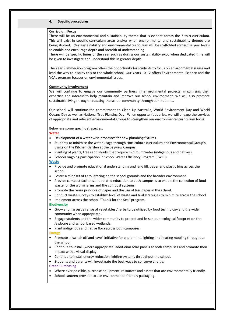## **4. Specific procedures**

#### **Curriculum Focus**

There will be an environmental and sustainability theme that is evident across the 7 to 9 curriculum. This will exist in specific curriculum areas and/or when environmental and sustainability themes are being studied. Our sustainability and environmental curriculum will be scaffolded across the year levels to enable and encourage depth and breadth of understanding.

There will be specific times of the year such as during our sustainability expo when dedicated time will be given to investigate and understand this in greater depth.

The Year 9 Immersion program offers the opportunity for students to focus on environmental issues and lead the way to display this to the whole school. Our Years 10-12 offers Environmental Science and the VCAL program focuses on environmental issues.

#### **Community Involvement**

We will continue to engage our community partners in environmental projects, maximizing their expertise and interest to help maintain and improve our school environment. We will also promote sustainable living through educating the school community through our students.

Our school will continue the commitment to Clean Up Australia, World Environment Day and World Oceans Day as well as National Tree Planting Day. When opportunities arise, we will engage the services of appropriate and relevant environmental groups to strengthen our environmental curriculum focus.

Below are some specific strategies:

#### **Water**

- Development of a water wise processes for new plumbing fixtures.
- Students to minimise the water usage through Horticulture curriculum and Environmental Group's usage on the Kitchen Garden at the Bayview Campus.
- Planting of plants, trees and shrubs that require minimum water (indigenous and natives).
- Schools ongoing participation in School Water Efficiency Program (SWEP).

#### **Waste**

- Provide and promote educational understanding and land fill, paper and plastic bins across the school.
- Foster a mindset of zero littering on the school grounds and the broader environment.
- Provide compost facilities and related education to both campuses to enable the collection of food waste for the worm farms and the compost systems.
- Promote the reuse principle of paper and the use of less paper in the school.
- Conduct waste surveys to establish level of waste and trial strategies to minimize across the school.
- Implement across the school "Take 3 for the Sea" program.

## **Biodiversity**

- Grow and harvest a range of vegetables /herbs to be utilized by food technology and the wider community when appropriate.
- Engage students and the wider community to protect and lessen our ecological footprint on the Jawbone and school based wetlands.
- Plant indigenous and native flora across both campuses.

#### **Energy**

- Promote a 'switch off and save" initiative for equipment, lighting and heating /cooling throughout the school.
- Continue to install (where appropriate) additional solar panels at both campuses and promote their impact with a visual display.
- Continue to install energy reduction lighting systems throughput the school.
- Students and parents will investigate the best ways to conserve energy.

## Green Purchasing

- Where ever possible, purchase equipment, resources and assets that are environmentally friendly.
- School canteen provider to use environmental friendly packaging.